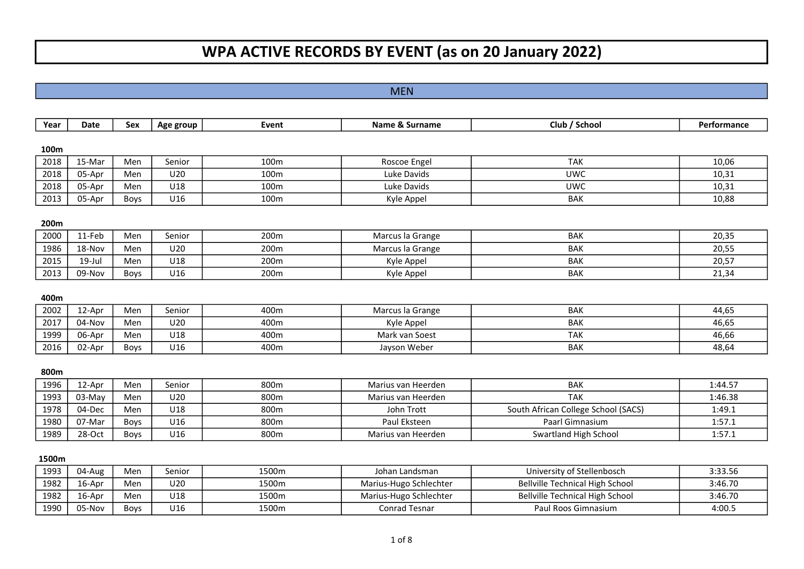# WPA ACTIVE RECORDS BY EVENT (as on 20 January 2022)

# MEN

| Year  | <b>Date</b> | <b>Sex</b>  | Age group | Event | Name & Surname         | Club / School                          | Performance |
|-------|-------------|-------------|-----------|-------|------------------------|----------------------------------------|-------------|
| 100m  |             |             |           |       |                        |                                        |             |
| 2018  | 15-Mar      | Men         | Senior    | 100m  | Roscoe Engel           | <b>TAK</b>                             | 10,06       |
| 2018  | 05-Apr      | Men         | U20       | 100m  | Luke Davids            | <b>UWC</b>                             | 10,31       |
| 2018  | 05-Apr      | Men         | U18       | 100m  | Luke Davids            | <b>UWC</b>                             | 10,31       |
| 2013  | 05-Apr      | Boys        | U16       | 100m  | Kyle Appel             | <b>BAK</b>                             | 10,88       |
| 200m  |             |             |           |       |                        |                                        |             |
| 2000  | 11-Feb      | Men         | Senior    | 200m  | Marcus la Grange       | <b>BAK</b>                             | 20,35       |
| 1986  | 18-Nov      | Men         | U20       | 200m  | Marcus la Grange       | <b>BAK</b>                             | 20,55       |
| 2015  | 19-Jul      | Men         | U18       | 200m  | Kyle Appel             | <b>BAK</b>                             | 20,57       |
| 2013  | 09-Nov      | Boys        | U16       | 200m  | Kyle Appel             | <b>BAK</b>                             | 21,34       |
| 400m  |             |             |           |       |                        |                                        |             |
| 2002  | 12-Apr      | Men         | Senior    | 400m  | Marcus la Grange       | <b>BAK</b>                             | 44,65       |
| 2017  | 04-Nov      | Men         | U20       | 400m  | Kyle Appel             | <b>BAK</b>                             | 46,65       |
| 1999  | 06-Apr      | Men         | U18       | 400m  | Mark van Soest         | <b>TAK</b>                             | 46,66       |
| 2016  | 02-Apr      | Boys        | U16       | 400m  | Jayson Weber           | <b>BAK</b>                             | 48,64       |
| 800m  |             |             |           |       |                        |                                        |             |
| 1996  | 12-Apr      | Men         | Senior    | 800m  | Marius van Heerden     | <b>BAK</b>                             | 1:44.57     |
| 1993  | $03-May$    | Men         | U20       | 800m  | Marius van Heerden     | <b>TAK</b>                             | 1:46.38     |
| 1978  | 04-Dec      | Men         | U18       | 800m  | John Trott             | South African College School (SACS)    | 1:49.1      |
| 1980  | 07-Mar      | Boys        | U16       | 800m  | Paul Eksteen           | Paarl Gimnasium                        | 1:57.1      |
| 1989  | 28-Oct      | <b>Boys</b> | U16       | 800m  | Marius van Heerden     | Swartland High School                  | 1:57.1      |
| 1500m |             |             |           |       |                        |                                        |             |
| 1993  | 04-Aug      | Men         | Senior    | 1500m | Johan Landsman         | University of Stellenbosch             | 3:33.56     |
| 1982  | 16-Apr      | Men         | U20       | 1500m | Marius-Hugo Schlechter | <b>Bellville Technical High School</b> | 3:46.70     |
| 1982  | 16-Apr      | Men         | U18       | 1500m | Marius-Hugo Schlechter | <b>Bellville Technical High School</b> | 3:46.70     |

05-Nov Boys U16 1500m Conrad Tesnar Paul Roos Gimnasium 4:00.5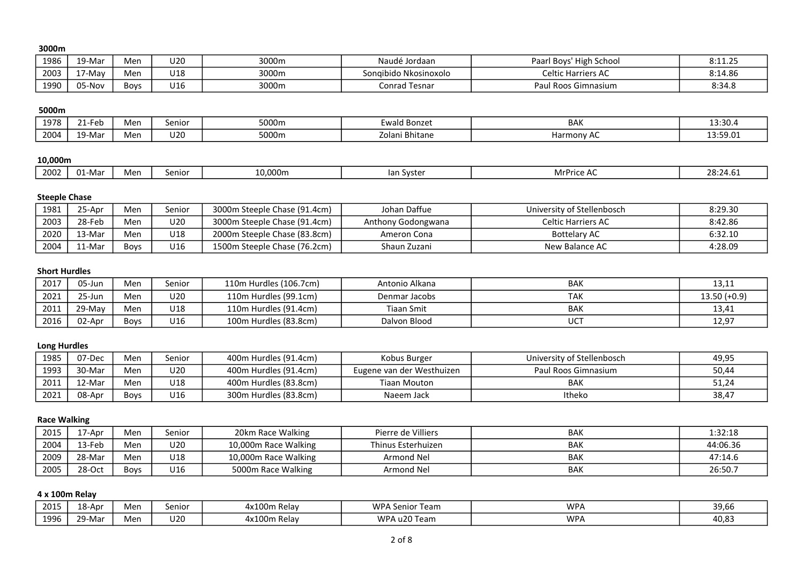## 3000m

| 1986 | 9-Mar  | Men  | U20 | 3000m | Naudé Jordaan            | h School<br>High<br>Paarl Boys | $0.117$ $C$<br>. |
|------|--------|------|-----|-------|--------------------------|--------------------------------|------------------|
| 2003 | May    | Men  | U18 | 3000m | Nkosinoxolo<br>songibido | Celtic Harriers AC             | 8:14.86          |
| 1990 | 05-Nov | Boys | J16 | 3000m | Conrad Tesnar            | Paul Roos Gimnasium            | 8:34.8           |

## 5000m

| 1978 | $\sim$<br><u>тни.</u>           | Men | Senior                | 5000m | Ewald Bonzet                                    | <b>BAK</b> | 13:30.   |
|------|---------------------------------|-----|-----------------------|-------|-------------------------------------------------|------------|----------|
| 2004 | .10 <sup>11</sup><br>9-Ma<br>-- | Men | $\cdot$ $\sim$<br>uzu | 5000m | $\overline{\phantom{0}}$<br>i Bhitane<br>Zolani | Harmonv AC | 13:59.01 |

# 10,000m

| 2002<br>10.000m<br>. .<br>senior<br><u>ьл.</u><br>lian Syster<br>Men<br><b>MILLE</b><br>"מ מ<br>-0.24<br>-ivid<br>u⊥<br>. |  |
|---------------------------------------------------------------------------------------------------------------------------|--|
|---------------------------------------------------------------------------------------------------------------------------|--|

## Steeple Chase

| 1981 | <sup>ን</sup> 5-Apr | Men         | senior | 3000m Steeple Chase (91.4cm) | Johan Daffue       | University of Stellenbosch | 8:29.30 |
|------|--------------------|-------------|--------|------------------------------|--------------------|----------------------------|---------|
| 2003 | 28-Feb             | Men         | U20    | 3000m Steeple Chase (91.4cm) | Anthony Godongwana | <b>Celtic Harriers AC</b>  | 8:42.86 |
| 2020 | -Mar               | Men         | U18    | 2000m Steeple Chase (83.8cm) | Ameron Cona        | <b>Bottelary AC</b>        | 6:32.10 |
| 2004 | -Mar               | <b>Boys</b> | U16    | 1500m Steeple Chase (76.2cm) | Shaun Zuzani       | New Balance AC             | 4:28.09 |

#### Short Hurdles

| 2017 | ገ5-Jun                 | Men         | senior | 110m Hurdles (106.7cm) | Antonio Alkana | <b>BAK</b> | 13,11          |
|------|------------------------|-------------|--------|------------------------|----------------|------------|----------------|
| 2021 | ີ <sup>າ</sup> 5-Jun . | Men         | U20    | 110m Hurdles (99.1cm)  | Denmar Jacobs  | TAK        | $13.50 (+0.9)$ |
| 2011 | 29-May                 | Men         | U18    | 110m Hurdles (91.4cm)  | Tiaan Smit     | <b>BAK</b> | 13,41          |
| 2016 | 02-Apr                 | <b>Boys</b> | U16    | 100m Hurdles (83.8cm)  | Dalvon Blood   | <b>UCT</b> | 12,97          |

# Long Hurdles

| 1985 | 07-Dec | Men         | senior | 400m Hurdles (91.4cm) | Kobus Burger              | University of Stellenbosch | 49,95 |
|------|--------|-------------|--------|-----------------------|---------------------------|----------------------------|-------|
| 1993 | 30-Mar | Men         | U20    | 400m Hurdles (91.4cm) | Eugene van der Westhuizen | Paul Roos Gimnasium        | 50,44 |
| 2011 | 12-Mar | Men         | U18    | 400m Hurdles (83.8cm) | Tiaan Mouton              | <b>BAK</b>                 | 51,24 |
| 2021 | 08-Apr | <b>Boys</b> | U16    | 300m Hurdles (83.8cm) | Naeem Jack                | Itheko                     | 38,47 |

# Race Walking

| 2015 | ./-Apr | Men         | senior | 20km Race Walking    | Pierre de Villiers | <b>BAK</b> | 1:32:18  |
|------|--------|-------------|--------|----------------------|--------------------|------------|----------|
| 2004 | 13-Feb | Men         | U20    | 10,000m Race Walking | Thinus Esterhuizen | <b>BAK</b> | 44:06.36 |
| 2009 | 28-Mar | Men         | U18    | 10,000m Race Walking | Armond Nel         | BAK        | 47:14.6  |
| 2005 | 28-Oct | <b>Boys</b> | U16    | 5000m Race Walking   | Armond Nel         | <b>BAK</b> | 26:50.7  |

## 4 x 100m Relay

| 2015 | ⊥8-Apr | Mer | senior | 4x100n.<br>. Relav | WPA S<br>، Senior<br>Team | WPA | 39,66 |
|------|--------|-----|--------|--------------------|---------------------------|-----|-------|
| 1996 | າ9-Mar | Mer | U20    | 4x100n.<br>Relav   | u20 Team<br>WPA           | WPA | 40,83 |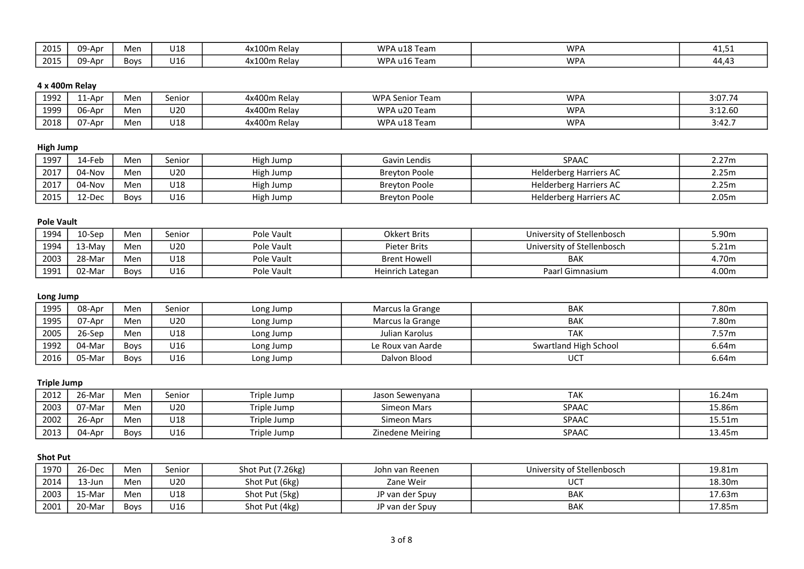| 2015 | .-Apr  | Men         | U18 | 4x100ı.<br>Relay            | WPA u18<br>'18 Team                        | <b>WPA</b> | 41, J. |
|------|--------|-------------|-----|-----------------------------|--------------------------------------------|------------|--------|
| 2015 | -Apr-ر | <b>Boys</b> | J16 | 4x100 <sub>1</sub><br>Relav | <b>WPA</b><br>$\lambda$ u16 $\tau$<br>Team | <b>WPA</b> | 44,43  |

# 4 x 400m Relay

| 1992 | . 1-Apr | Men | eniorد | 4x400m Relav | <b>WPA Senior Team</b> | <b>WPA</b> | 3:07.74 |
|------|---------|-----|--------|--------------|------------------------|------------|---------|
| 1999 | 06-Apr  | Men | U20    | 4x400m Relay | WPA u20 Team           | <b>WPA</b> | 3:12.60 |
| 2018 | ∪7-Apr  | Men | U18    | 4x400m Relav | WPA u18 Team           | <b>WPA</b> | 3:42.7  |

# High Jump

| 1997 | '.4-Feb | Men         | eniorد | High Jump | Gavin Lendis         | <b>SPAAC</b>                  | 2.27m |
|------|---------|-------------|--------|-----------|----------------------|-------------------------------|-------|
| 2017 | 04-Nov  | Men         | U20    | High Jump | <b>Brevton Poole</b> | <b>Helderberg Harriers AC</b> | 2.25m |
| 2017 | 04-Nov  | Men         | U18    | High Jump | <b>Brevton Poole</b> | <b>Helderberg Harriers AC</b> | 2.25m |
| 2015 | 12-Dec  | <b>Boys</b> | U16    | High Jump | <b>Breyton Poole</b> | <b>Helderberg Harriers AC</b> | 2.05m |

## Pole Vault

| 1994 | .0-Sep | Men  | senior | Pole Vault | <b>Okkert Brits</b> | University of Stellenbosch | 5.90m |
|------|--------|------|--------|------------|---------------------|----------------------------|-------|
| 1994 | 13-May | Men  | U20    | Pole Vault | <b>Pieter Brits</b> | University of Stellenbosch | 5.21m |
| 2003 | 28-Mar | Men  | U18    | Pole Vault | <b>Brent Howell</b> | <b>BAK</b>                 | 4.70m |
| 1991 | 02-Mar | Boys | U16    | Pole Vault | Heinrich Lategan    | Paarl Gimnasium            | 4.00m |

## Long Jump

| 1995 | 08-Apr     | Men         | Senior | Long Jump | Marcus la Grange  | <b>BAK</b>            | 7.80m |
|------|------------|-------------|--------|-----------|-------------------|-----------------------|-------|
| 1995 | 07-Apr     | Men         | U20    | Long Jump | Marcus la Grange  | <b>BAK</b>            | 7.80m |
| 2005 | 26-Sep     | Men         | U18    | Long Jump | Julian Karolus    | ТАК                   | 7.57m |
| 1992 | 04-Mar     | <b>Boys</b> | U16    | Long Jump | Le Roux van Aarde | Swartland High School | 6.64m |
| 2016 | $25-Mar$ . | <b>Boys</b> | U16    | Long Jump | Dalvon Blood      | <b>UCT</b>            | 6.64m |

## Triple Jump

| 2012 | 26-Mar | Men  | senior | Triple Jump | Jason Sewenyana  | TAK          | 16.24m |
|------|--------|------|--------|-------------|------------------|--------------|--------|
| 2003 | 07-Mar | Men  | U20    | Triple Jump | Simeon Mars      | <b>SPAAC</b> | 15.86m |
| 2002 | 26-Apr | Men  | U18    | Triple Jump | Simeon Mars      | <b>SPAAC</b> | 15.51m |
| 2013 | 04-Apr | Boys | U16    | Triple Jump | Zinedene Meiring | <b>SPAAC</b> | 13.45m |

# Shot Put

| 1970 | 26-Dec     | Men         | Senior | Shot Put (7.26kg) | John van Reenen | University of Stellenbosch | 19.81m |
|------|------------|-------------|--------|-------------------|-----------------|----------------------------|--------|
| 2014 | .3-Jur     | Men         | U20    | Shot Put (6kg)    | Zane Weir       | UCT                        | 18.30m |
| 2003 | $15-Mar$ . | Men         | U18    | Shot Put (5kg)    | JP van der Spuy | <b>BAK</b>                 | 17.63m |
| 2001 | 20-Mar     | <b>Boys</b> | U16    | Shot Put (4kg)    | JP van der Spuy | BAK                        | 17.85m |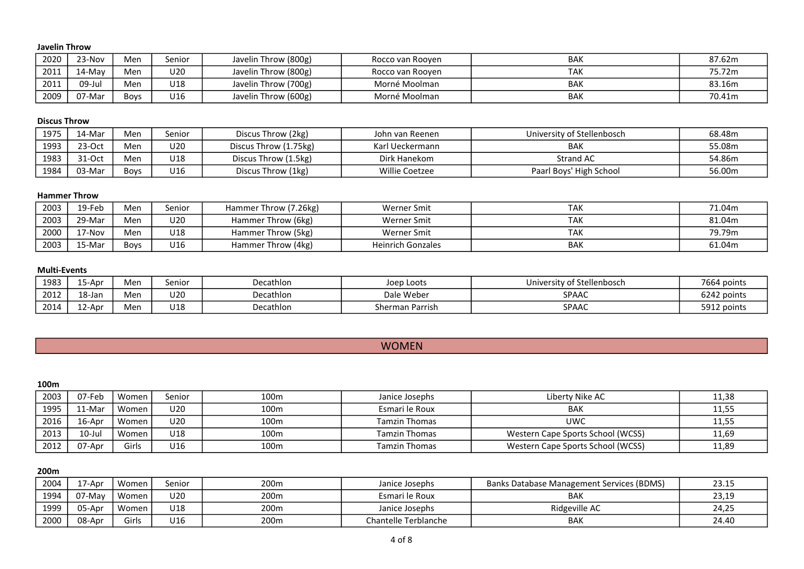#### Javelin Throw

| 2020 | <sup>23-Nov</sup> | Men         | senior | Javelin Throw (800g) | Rocco van Rooven | <b>BAK</b> | 87.62m |
|------|-------------------|-------------|--------|----------------------|------------------|------------|--------|
| 2011 | 14-May            | Men         | U20    | Javelin Throw (800g) | Rocco van Rooven | TAK        | 75.72m |
| 2011 | 09-Jul            | Men         | U18    | Javelin Throw (700g) | Morné Moolman    | <b>BAK</b> | 83.16m |
| 2009 | 07-Mar            | <b>Boys</b> | U16    | Javelin Throw (600g) | Morné Moolman    | <b>BAK</b> | 70.41m |

#### Discus Throw

| 1975 | 14-Mar                      | Men  | Senior | Discus Throw (2kg)    | John van Reenen       | University of Stellenbosch | 68.48m |
|------|-----------------------------|------|--------|-----------------------|-----------------------|----------------------------|--------|
| 1993 | $220c+$<br>' -< - 1<br>∍ب ب | Men  | U20    | Discus Throw (1.75kg) | Karl Ueckermann       | <b>BAK</b>                 | 55.08m |
| 1983 | $31-Ort$<br>∍ب ب            | Men  | U18    | Discus Throw (1.5kg)  | Dirk Hanekom          | Strand AC                  | 54.86m |
| 1984 | 03-Mar                      | Bovs | U16    | Discus Throw (1kg)    | <b>Willie Coetzee</b> | Paarl Boys' High School    | 56.00m |

#### Hammer Throw

| 2003 | 19-Feb | Men         | senior | Hammer Throw (7.26kg) | <b>Werner Smit</b>       | <b>TAK</b> | 71.04m |
|------|--------|-------------|--------|-----------------------|--------------------------|------------|--------|
| 2003 | 29-Mar | Men         | U20    | Hammer Throw (6kg)    | <b>Werner Smit</b>       | <b>TAK</b> | 81.04m |
| 2000 | 17-Nov | Men         | U18    | Hammer Throw (5kg)    | <b>Werner Smit</b>       | <b>TAK</b> | 79.79m |
| 2003 | 15-Mar | <b>Boys</b> | U16    | Hammer Throw (4kg)    | <b>Heinrich Gonzales</b> | <b>BAK</b> | 61.04m |

#### Multi-Events

| 1983 | Apr-ذ                     | Mer | senior        | Decathlon | Joep Loots      | University of Stellenbosch | 7664 points |
|------|---------------------------|-----|---------------|-----------|-----------------|----------------------------|-------------|
| 2012 | $10 \text{ km}$<br>19-191 | Mer | $\sim$<br>U20 | Decathlon | Dale Weber      | <b>SPAAC</b>               | 6242 points |
| 2014 | 12-Apr                    | Mer | U18           | Decathlon | Sherman Parrish | SPAAC                      | 5912 points |

| <b>WOMAEN</b><br><b>VVUIVILIV</b> |
|-----------------------------------|
|                                   |

| 100 <sub>m</sub> |           |         |                 |                  |                      |                                   |       |
|------------------|-----------|---------|-----------------|------------------|----------------------|-----------------------------------|-------|
| 2003             | 07-Feb    | Women   | Senior          | 100m             | Janice Josephs       | Liberty Nike AC                   | 11,38 |
| 1995             | 11-Mar    | Women   | U <sub>20</sub> | 100 <sub>m</sub> | Esmari le Roux       | <b>BAK</b>                        | 11,55 |
| 2016             | 16-Apr    | Women I | U <sub>20</sub> | 100m             | <b>Tamzin Thomas</b> | UWC                               | 11,55 |
| 2013             | $10$ -Jul | Women   | U18             | 100m             | <b>Tamzin Thomas</b> | Western Cape Sports School (WCSS) | 11,69 |
| 2012             | 07-Apr    | Girls   | U16             | 100m             | <b>Tamzin Thomas</b> | Western Cape Sports School (WCSS) | 11,89 |

200m

| 2004 | /-Apr  | Women | Senior | 200m | Janice Josephs       | <b>Banks Database Management Services (BDMS)</b> | 23.15 |
|------|--------|-------|--------|------|----------------------|--------------------------------------------------|-------|
| 1994 | 07-May | Women | U20    | 200m | Esmari le Roux       | <b>BAK</b>                                       | 23,19 |
| 1999 | 05-Apr | Women | U18    | 200m | Janice Josephs       | Ridgeville AC                                    | 24,25 |
| 2000 | 08-Apr | Girls | U16    | 200m | Chantelle Terblanche | <b>BAK</b>                                       | 24.40 |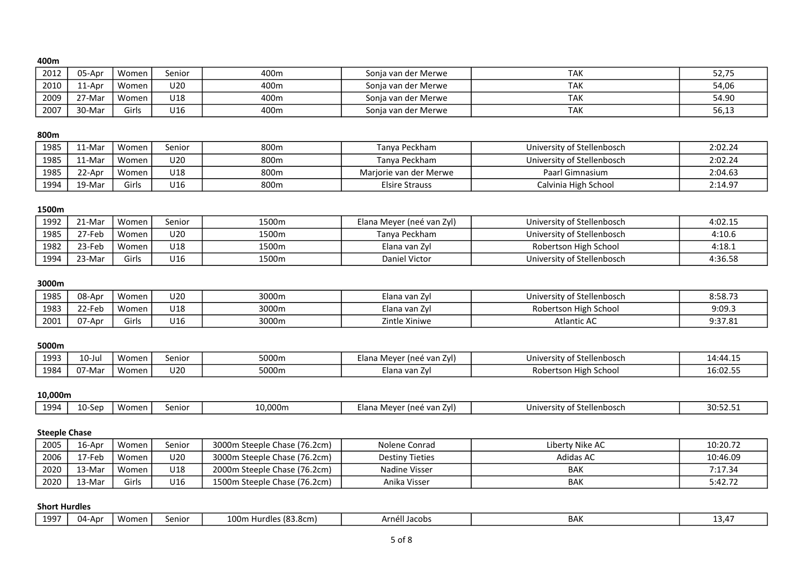#### 400m

| 2012 | 05-Apr    | Women | Senior          | 400m | Sonja van der Merwe | TAK        | 52,75 |
|------|-----------|-------|-----------------|------|---------------------|------------|-------|
| 2010 | 11-Apr    | Women | U <sub>20</sub> | 400m | Sonia van der Merwe | <b>TAK</b> | 54,06 |
| 2009 | $27$ -Mar | Women | U18             | 400m | Sonia van der Merwe | <b>TAK</b> | 54.90 |
| 2007 | 30-Mar    | Girls | U16             | 400m | Sonja van der Merwe | <b>TAK</b> | 56,13 |

#### 800m

| 1985 | `1-Mar     | Women | Senior          | 800m | Tanva Peckham          | University of Stellenbosch | 2:02.24 |
|------|------------|-------|-----------------|------|------------------------|----------------------------|---------|
| 1985 | $11$ -Mar  | Women | U <sub>20</sub> | 800m | Tanva Peckham          | University of Stellenbosch | 2:02.24 |
| 1985 | 22-Apr     | Women | U18             | 800m | Mariorie van der Merwe | Paarl Gimnasium            | 2:04.63 |
| 1994 | $19-Mar$ . | Girls | U16             | 800m | <b>Elsire Strauss</b>  | Calvinia High School       | 2:14.97 |

## 1500m

| 1992 | -Mar       | Women . | Senior | 1500m | Elana Meyer (neé van Zyl) | University of Stellenbosch | 4:02.15 |
|------|------------|---------|--------|-------|---------------------------|----------------------------|---------|
| 1985 | $77-Feb$ . | Women   | U20    | 1500m | Tanva Peckham             | University of Stellenbosch | 4:10.6  |
| 1982 | 23-Feb     | Women   | U18    | 1500m | Elana van Zyl             | Robertson High School      | 4:18.1  |
| 1994 | -Mar       | Girls   | U16    | 1500m | Daniel Victor             | University of Stellenbosch | 4:36.58 |

#### 3000m

| 1985 | 08-Apr          | Women | U20 | 3000m | zlana van Zyl    | <b>Stellenbosch</b><br>ົດ <del>1</del><br>University o | 8:58.7  |
|------|-----------------|-------|-----|-------|------------------|--------------------------------------------------------|---------|
| 1983 | 22-Feb          | Women | U18 | 3000m | clana van Zyl    | Robertson High School                                  | 9:09.3  |
| 2001 | $\sim$<br>יתA-A | Girl: | U16 | 3000m | Zintle<br>Xiniwe | <b>Atlantic AC</b>                                     | 9:37.81 |

#### 5000m

| 1993<br>ᅩJJJ | .0-Jul | Women                   | senior                 | 5000m | Elana Mever<br>' (neé van ZvI) | Universi<br>f Stellenbosch<br>rsity of | $14:44.1$ <sup>r</sup> |
|--------------|--------|-------------------------|------------------------|-------|--------------------------------|----------------------------------------|------------------------|
| 1984         | າ7-Mai | <b>A</b> A A<br>… wome∽ | 10 <sub>2</sub><br>uzu | 5000m | Elana van Zyl                  | Robertson High School                  | 16:02.55               |

# 10,000m

| - ۵۵۸ . | $\sqrt{ }$<br>.san<br>- 25 M | Women | senior | $0.000$ m | Elar<br>i van ∠<br><b>1100</b><br>$\overline{ }$<br>ZVI)<br>. .<br>. . | , llanhacck<br>University<br>$. - +$<br>יי<br><b>IICIINUJUI</b> | $- - -$<br>ົດດ<br><u>JU.JZ.J.</u> |
|---------|------------------------------|-------|--------|-----------|------------------------------------------------------------------------|-----------------------------------------------------------------|-----------------------------------|
|---------|------------------------------|-------|--------|-----------|------------------------------------------------------------------------|-----------------------------------------------------------------|-----------------------------------|

## Steeple Chase

| 2005 | 16-Apr   | Women | senior | 3000m Steeple Chase (76.2cm) | Nolene Conrad          | Liberty Nike AC  | 10:20.72 |
|------|----------|-------|--------|------------------------------|------------------------|------------------|----------|
| 2006 | 7-Feb    | Women | U20    | 3000m Steeple Chase (76.2cm) | <b>Destiny Tieties</b> | <b>Adidas AC</b> | 10:46.09 |
| 2020 | $13-Mar$ | Women | U18    | 2000m Steeple Chase (76.2cm) | Nadine Visser          | BAK              | 7:17.34  |
| 2020 | $13-Mar$ | Girls | U16    | 1500m Steeple Chase (76.2cm) | Anika Visser           | <b>BAK</b>       | 5:42.72  |

## Short Hurdles

| 1007 | Women<br>04-Apr | 100m<br>.1030cm<br>$\cdots$ Hurd <sup>1</sup><br>Senior<br>ס.כסובד<br><b>TULUIE</b> | Jacobs<br>Arnel' | BAI | ⊬ر ح⊥ |
|------|-----------------|-------------------------------------------------------------------------------------|------------------|-----|-------|
|------|-----------------|-------------------------------------------------------------------------------------|------------------|-----|-------|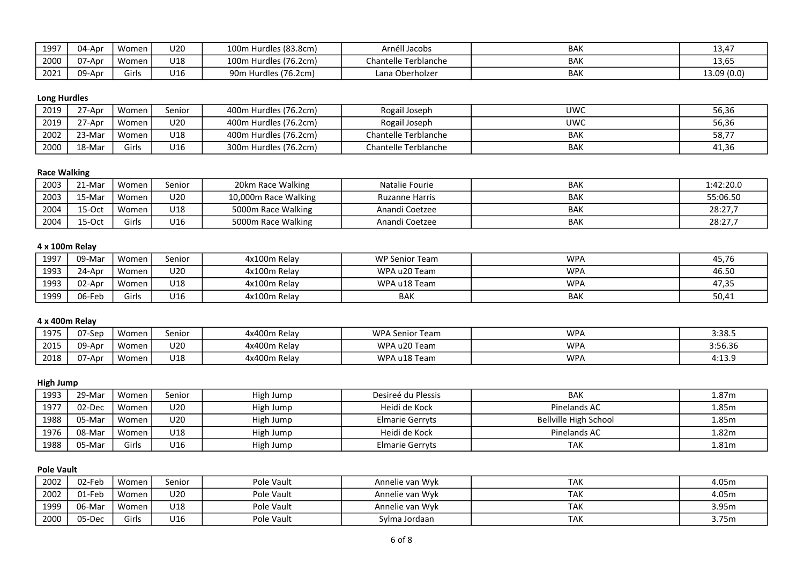| 1997 | 04-Apr           | Women | U20 | 100m Hurdles (83.8cm)               | $\sim$ $\sim$<br>Arnéll Jacobs | <b>BAK</b> | 1217<br>13,4. |
|------|------------------|-------|-----|-------------------------------------|--------------------------------|------------|---------------|
| 2000 | $\sim$<br>07-Apr | Women | U18 | 100m Hurdles (76.2cm)               | Chantelle Terblanche           | <b>BAK</b> | 13,65         |
| 2021 | 09-Apr           | airls | U16 | Hurdles (76.2cm)<br>90 <sub>m</sub> | Lana Oberholzer                | <b>BAK</b> | 13.09 (0.0)   |

# Long Hurdles

| 2019 | $27-Apr$ . | Women        | Senior | 400m Hurdles (76.2cm) | Rogail Joseph        | UWC        | 56,36 |
|------|------------|--------------|--------|-----------------------|----------------------|------------|-------|
| 2019 | $27$ -Apr  | Women        | U20    | 400m Hurdles (76.2cm) | Rogail Joseph        | <b>UWC</b> | 56,36 |
| 2002 | 23-Mar     | Women        | U18    | 400m Hurdles (76.2cm) | Chantelle Terblanche | <b>BAK</b> | 58,77 |
| 2000 | 18-Mar     | <b>Girls</b> | U16    | 300m Hurdles (76.2cm) | Chantelle Terblanche | <b>BAK</b> | 41,36 |

# Race Walking

| 2003 | 21-Mar          | Women | Senior | 20km Race Walking    | Natalie Fourie        | <b>BAK</b> | 1:42:20.0 |
|------|-----------------|-------|--------|----------------------|-----------------------|------------|-----------|
| 2003 | `5-Mar          | Women | U20    | 10,000m Race Walking | <b>Ruzanne Harris</b> | <b>BAK</b> | 55:06.50  |
| 2004 | 15-Oct          | Women | U18    | 5000m Race Walking   | Anandi Coetzee        | BAK        | 28:27.7   |
| 2004 | $15-Ort$<br>⊤∪∪ | Girls | U16    | 5000m Race Walking   | Anandi Coetzee        | <b>BAK</b> | 28:27.7   |

# 4 x 100m Relay

| 1997 | 09-Mar | Women | Senior | 4x100m Relay | WP Senior Team | <b>WPA</b> | 45,76 |
|------|--------|-------|--------|--------------|----------------|------------|-------|
| 1993 | 24-Apr | Women | U20    | 4x100m Relay | WPA u20 Team   | <b>WPA</b> | 46.50 |
| 1993 | 02-Apr | Women | U18    | 4x100m Relay | WPA u18 Team   | <b>WPA</b> | 47,35 |
| 1999 | 06-Feb | Girls | U16    | 4x100m Relay | <b>BAK</b>     | <b>BAK</b> | 50,41 |

## 4 x 400m Relay

| 1975 | 07-Sep | Women | eniorد     | 4x400m Relay | <b>WPA Senior Team</b> | <b>WPA</b> | 3:38.5    |
|------|--------|-------|------------|--------------|------------------------|------------|-----------|
| 2015 | 09-Apr | Women | U20        | 4x400m Relav | WPA u20 Team           | <b>WPA</b> | 3:56.36   |
| 2018 | 07-Apr | Women | <b>J18</b> | 4x400m Relay | WPA u18 Team           | <b>WPA</b> | $4:13.^c$ |

## High Jump

| 1993 | 29-Mar | Women   | Senior          | High Jump | Desireé du Plessis     | <b>BAK</b>            | 1.87m |
|------|--------|---------|-----------------|-----------|------------------------|-----------------------|-------|
| 1977 | 02-Dec | Women   | U20             | High Jump | Heidi de Kock          | Pinelands AC          | 1.85m |
| 1988 | 05-Mar | Women i | U <sub>20</sub> | High Jump | Elmarie Gerryts        | Bellville High School | 1.85m |
| 1976 | 08-Mar | Women   | U18             | High Jump | Heidi de Kock          | Pinelands AC          | 1.82m |
| 1988 | 05-Mar | Girls   | U16             | High Jump | <b>Elmarie Gerryts</b> | <b>TAK</b>            | 1.81m |

# Pole Vault

| 2002 | 02-Feb | Women | Senior | Pole Vault | Annelie van Wyk | <b>TAK</b> | 4.05m |
|------|--------|-------|--------|------------|-----------------|------------|-------|
| 2002 | `-Feb  | Women | U20    | Pole Vault | Annelie van Wyk | <b>TAK</b> | 4.05m |
| 1999 | 06-Mar | Women | U18    | Pole Vault | Annelie van Wyk | <b>TAK</b> | 3.95m |
| 2000 | 05-Dec | Girls | U16    | Pole Vault | Sylma Jordaan   | <b>TAK</b> | 3.75m |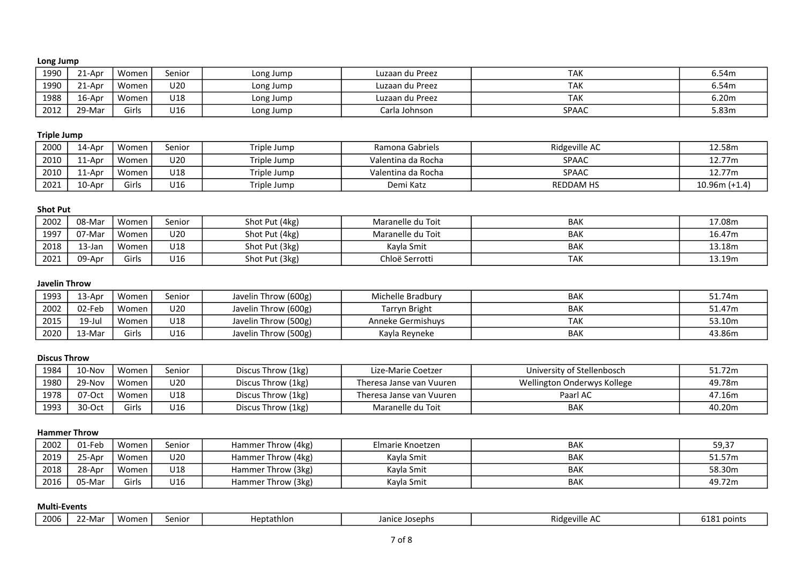## Long Jump

| 1990 | .1-Apr             | Women | senior | Long Jump | Luzaan du Preez | <b>TAK</b>   | 6.54m |
|------|--------------------|-------|--------|-----------|-----------------|--------------|-------|
| 1990 | ∠1-Apr             | Women | U20    | Long Jump | Luzaan du Preez | TAK          | 6.54m |
| 1988 | 16-Apr             | Women | U18    | Long Jump | Luzaan du Preez | TAK          | 6.20m |
| 2012 | <sup>າ</sup> 9-Mar | Girls | U16    | Long Jump | Carla Johnson   | <b>SPAAC</b> | 5.83m |

#### Triple Jump

| 2000 | 14-Apr | Women | Senior | Triple Jump | Ramona Gabriels    | Ridgeville AC    | 12.58m          |
|------|--------|-------|--------|-------------|--------------------|------------------|-----------------|
| 2010 | ⊥1-Apr | Women | U20    | Triple Jump | Valentina da Rocha | <b>SPAAC</b>     | 12.77m          |
| 2010 | .1-Apr | Women | U18    | Triple Jump | Valentina da Rocha | <b>SPAAC</b>     | 12.77m          |
| 2021 | 10-Apr | Girls | U16    | Triple Jump | Demi Katz          | <b>REDDAM HS</b> | $10.96m (+1.4)$ |

## Shot Put

| 2002 | 08-Mar                 | Women | Senior | Shot Put (4kg) | Maranelle du Toit | <b>BAK</b> | 17.08m |
|------|------------------------|-------|--------|----------------|-------------------|------------|--------|
| 1997 | ົ <sup>າ7</sup> -Mar ເ | Women | U20    | Shot Put (4kg) | Maranelle du Toit | <b>BAK</b> | 16.47m |
| 2018 | 13-Jar                 | Women | U18    | Shot Put (3kg) | Kayla Smit        | <b>BAK</b> | 13.18m |
| 2021 | 09-Apr                 | Girls | U16    | Shot Put (3kg) | Chloë Serrotti    | <b>TAK</b> | 13.19m |

## Javelin Throw

| 1993 | $13$ -Apr | Women | senior | Javelin Throw (600g) | Michelle Bradbury | <b>BAK</b> | 51.74m |
|------|-----------|-------|--------|----------------------|-------------------|------------|--------|
| 2002 | 02-Feb    | Women | U20    | Javelin Throw (600g) | Tarryn Bright     | <b>BAK</b> | 51.47m |
| 2015 | $19$ -Jul | Women | U18    | Javelin Throw (500g) | Anneke Germishuvs | <b>TAK</b> | 53.10m |
| 2020 |           | Girls | U16    | Javelin Throw (500g) | Kayla Reyneke     | <b>BAK</b> | 43.86m |

#### Discus Throw

| 1984 | 10-Nov | Women | Senior | Discus Throw (1kg) | Lize-Marie Coetzer       | University of Stellenbosch  | 51.72m |
|------|--------|-------|--------|--------------------|--------------------------|-----------------------------|--------|
| 1980 | 29-Nov | Women | U20    | Discus Throw (1kg) | Theresa Janse van Vuuren | Wellington Onderwys Kollege | 49.78m |
| 1978 | 07-Oct | Women | U18    | Discus Throw (1kg) | Theresa Janse van Vuuren | Paarl AC                    | 47.16m |
| 1993 | 30-Oct | Girls | U16    | Discus Throw (1kg) | Maranelle du Toit        | BAK                         | 40.20m |

#### Hammer Throw

| 2002 | 01-Feb | Women                             | senior | Hammer Throw (4kg) | Elmarie Knoetzen | <b>BAK</b> | 59,37  |
|------|--------|-----------------------------------|--------|--------------------|------------------|------------|--------|
| 2019 | 25-Apr | Women                             | U20    | Hammer Throw (4kg) | Kavla Smit       | <b>BAK</b> | 51.57m |
| 2018 | 28-Apr | Women                             | U18    | Hammer Throw (3kg) | Kayla Smit       | <b>BAK</b> | 58.30m |
| 2016 | 05-Mar | $\overline{\phantom{a}}$<br>Girls | U16    | Hammer Throw (3kg) | Kayla Smit       | <b>BAK</b> | 49.72m |

#### Multi-Events

| 2006<br>Heptathlon<br>eniorد<br>Josephs<br>Ma<br>lanıcı<br>$\sim$ $\mu$<br>_ _ | Ridgeville<br>∼ | 101<br>noint<br>UIO<br><b>LUUTTU</b> |
|--------------------------------------------------------------------------------|-----------------|--------------------------------------|
|--------------------------------------------------------------------------------|-----------------|--------------------------------------|